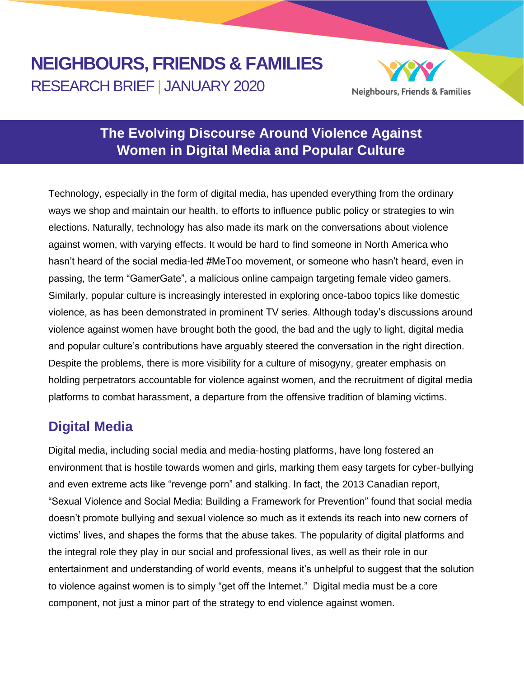# **NEIGHBOURS, FRIENDS & FAMILIES** RESEARCH BRIEF | JANUARY 2020



# **The Evolving Discourse Around Violence Against Women in Digital Media and Popular Culture**

Technology, especially in the form of digital media, has upended everything from the ordinary ways we shop and maintain our health, to efforts to influence public policy or strategies to win elections. Naturally, technology has also made its mark on the conversations about violence against women, with varying effects. It would be hard to find someone in North America who hasn't heard of the social media-led #MeToo movement, or someone who hasn't heard, even in passing, the term "GamerGate", a malicious online campaign targeting female video gamers. Similarly, popular culture is increasingly interested in exploring once-taboo topics like domestic violence, as has been demonstrated in prominent TV series. Although today's discussions around violence against women have brought both the good, the bad and the ugly to light, digital media and popular culture's contributions have arguably steered the conversation in the right direction. Despite the problems, there is more visibility for a culture of misogyny, greater emphasis on holding perpetrators accountable for violence against women, and the recruitment of digital media platforms to combat harassment, a departure from the offensive tradition of blaming victims.

# **Digital Media**

Digital media, including social media and media-hosting platforms, have long fostered an environment that is hostile towards women and girls, marking them easy targets for cyber-bullying and even extreme acts like "revenge porn" and stalking. In fact, the 2013 Canadian report, "Sexual Violence and Social Media: Building a Framework for Prevention" found that social media doesn't promote bullying and sexual violence so much as it extends its reach into new corners of victims' lives, and shapes the forms that the abuse takes. The popularity of digital platforms and the integral role they play in our social and professional lives, as well as their role in our entertainment and understanding of world events, means it's unhelpful to suggest that the solution to violence against women is to simply "get off the Internet." Digital media must be a core component, not just a minor part of the strategy to end violence against women.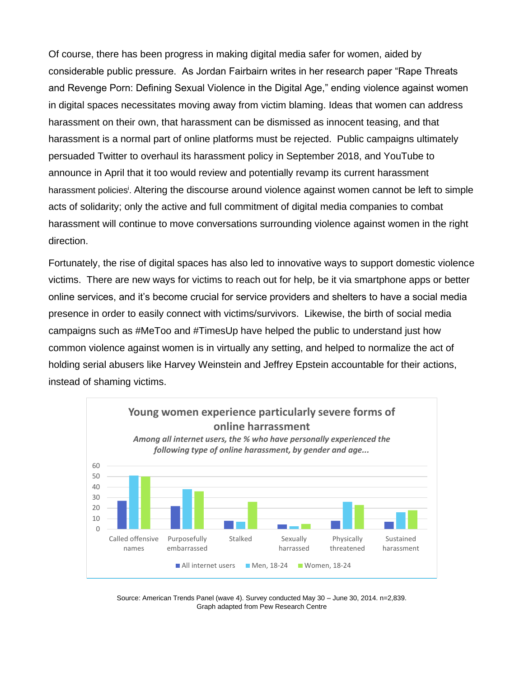Of course, there has been progress in making digital media safer for women, aided by considerable public pressure. As Jordan Fairbairn writes in her research paper "Rape Threats and Revenge Porn: Defining Sexual Violence in the Digital Age," ending violence against women in digital spaces necessitates moving away from victim blaming. Ideas that women can address harassment on their own, that harassment can be dismissed as innocent teasing, and that harassment is a normal part of online platforms must be rejected. Public campaigns ultimately persuaded Twitter to overhaul its harassment policy in September 2018, and YouTube to announce in April that it too would review and potentially revamp its current harassment harassment policies<sup>i</sup>. Altering the discourse around violence against women cannot be left to simple acts of solidarity; only the active and full commitment of digital media companies to combat harassment will continue to move conversations surrounding violence against women in the right direction.

Fortunately, the rise of digital spaces has also led to innovative ways to support domestic violence victims. There are new ways for victims to reach out for help, be it via smartphone apps or better online services, and it's become crucial for service providers and shelters to have a social media presence in order to easily connect with victims/survivors. Likewise, the birth of social media campaigns such as #MeToo and #TimesUp have helped the public to understand just how common violence against women is in virtually any setting, and helped to normalize the act of holding serial abusers like Harvey Weinstein and Jeffrey Epstein accountable for their actions, instead of shaming victims.



Source: American Trends Panel (wave 4). Survey conducted May 30 – June 30, 2014. n=2,839. Graph adapted from Pew Research Centre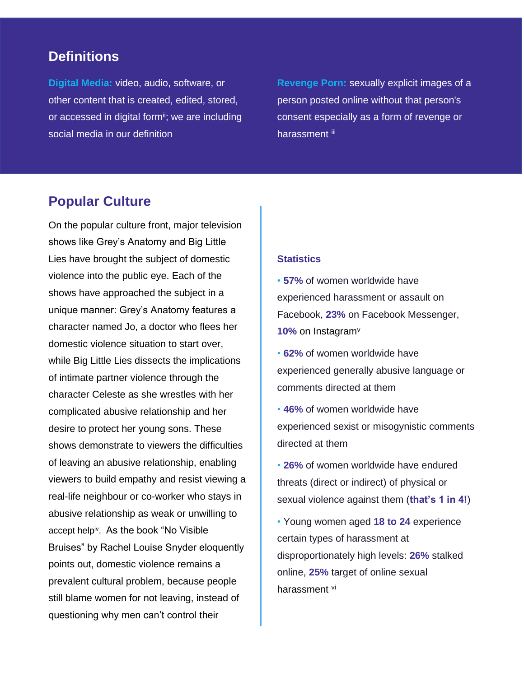### **Definitions**

**Digital Media:** video, audio, software, or other content that is created, edited, stored, or accessed in digital form<sup>ii</sup>; we are including social media in our definition

**Revenge Porn:** sexually explicit images of a person posted online without that person's consent especially as a form of revenge or harassment iii

### **Popular Culture**

On the popular culture front, major television shows like Grey's Anatomy and Big Little Lies have brought the subject of domestic violence into the public eye. Each of the shows have approached the subject in a unique manner: Grey's Anatomy features a character named Jo, a doctor who flees her domestic violence situation to start over, while Big Little Lies dissects the implications of intimate partner violence through the character Celeste as she wrestles with her complicated abusive relationship and her desire to protect her young sons. These shows demonstrate to viewers the difficulties of leaving an abusive relationship, enabling viewers to build empathy and resist viewing a real-life neighbour or co-worker who stays in abusive relationship as weak or unwilling to accept helpiv . As the book "No Visible Bruises" by Rachel Louise Snyder eloquently points out, domestic violence remains a prevalent cultural problem, because people still blame women for not leaving, instead of questioning why men can't control their

#### **Statistics**

• **57%** of women worldwide have experienced harassment or assault on Facebook, **23%** on Facebook Messenger, **10%** on Instagram<sup>v</sup>

• **62%** of women worldwide have experienced generally abusive language or comments directed at them

• **46%** of women worldwide have experienced sexist or misogynistic comments directed at them

• **26%** of women worldwide have endured threats (direct or indirect) of physical or sexual violence against them (**that's 1 in 4!**)

• Young women aged **18 to 24** experience certain types of harassment at disproportionately high levels: **26%** stalked online, **25%** target of online sexual harassment vi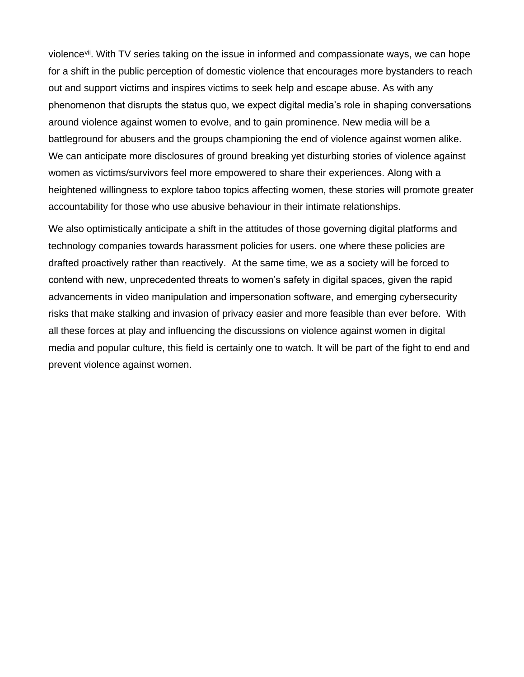violence<sup>vii</sup>. With TV series taking on the issue in informed and compassionate ways, we can hope for a shift in the public perception of domestic violence that encourages more bystanders to reach out and support victims and inspires victims to seek help and escape abuse. As with any phenomenon that disrupts the status quo, we expect digital media's role in shaping conversations around violence against women to evolve, and to gain prominence. New media will be a battleground for abusers and the groups championing the end of violence against women alike. We can anticipate more disclosures of ground breaking yet disturbing stories of violence against women as victims/survivors feel more empowered to share their experiences. Along with a heightened willingness to explore taboo topics affecting women, these stories will promote greater accountability for those who use abusive behaviour in their intimate relationships.

We also optimistically anticipate a shift in the attitudes of those governing digital platforms and technology companies towards harassment policies for users. one where these policies are drafted proactively rather than reactively. At the same time, we as a society will be forced to contend with new, unprecedented threats to women's safety in digital spaces, given the rapid advancements in video manipulation and impersonation software, and emerging cybersecurity risks that make stalking and invasion of privacy easier and more feasible than ever before. With all these forces at play and influencing the discussions on violence against women in digital media and popular culture, this field is certainly one to watch. It will be part of the fight to end and prevent violence against women.